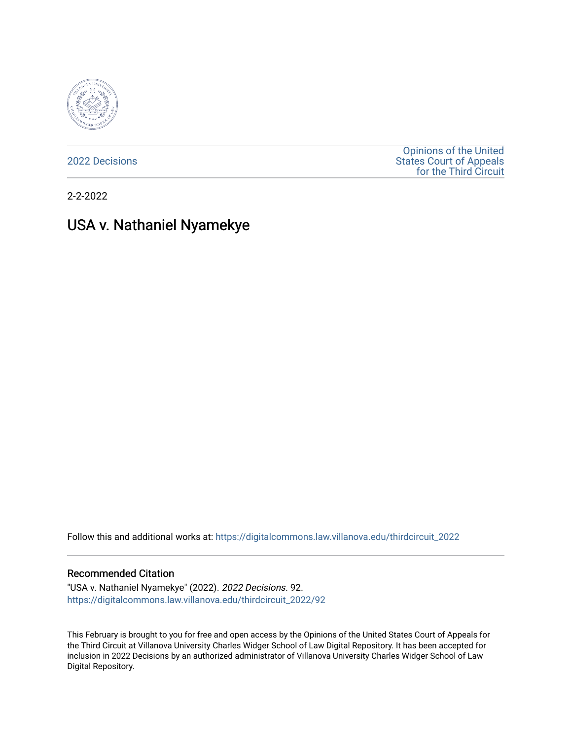

[2022 Decisions](https://digitalcommons.law.villanova.edu/thirdcircuit_2022)

[Opinions of the United](https://digitalcommons.law.villanova.edu/thirdcircuit)  [States Court of Appeals](https://digitalcommons.law.villanova.edu/thirdcircuit)  [for the Third Circuit](https://digitalcommons.law.villanova.edu/thirdcircuit) 

2-2-2022

# USA v. Nathaniel Nyamekye

Follow this and additional works at: [https://digitalcommons.law.villanova.edu/thirdcircuit\\_2022](https://digitalcommons.law.villanova.edu/thirdcircuit_2022?utm_source=digitalcommons.law.villanova.edu%2Fthirdcircuit_2022%2F92&utm_medium=PDF&utm_campaign=PDFCoverPages) 

#### Recommended Citation

"USA v. Nathaniel Nyamekye" (2022). 2022 Decisions. 92. [https://digitalcommons.law.villanova.edu/thirdcircuit\\_2022/92](https://digitalcommons.law.villanova.edu/thirdcircuit_2022/92?utm_source=digitalcommons.law.villanova.edu%2Fthirdcircuit_2022%2F92&utm_medium=PDF&utm_campaign=PDFCoverPages)

This February is brought to you for free and open access by the Opinions of the United States Court of Appeals for the Third Circuit at Villanova University Charles Widger School of Law Digital Repository. It has been accepted for inclusion in 2022 Decisions by an authorized administrator of Villanova University Charles Widger School of Law Digital Repository.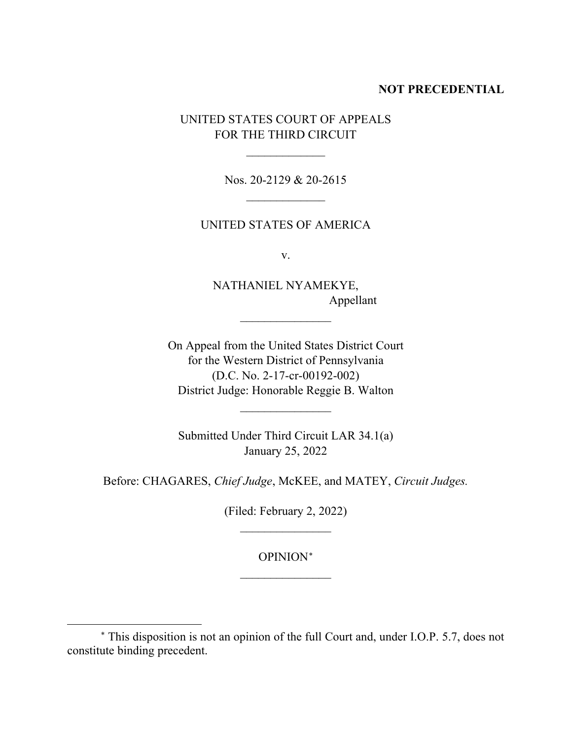# **NOT PRECEDENTIAL**

UNITED STATES COURT OF APPEALS FOR THE THIRD CIRCUIT

 $\overline{\phantom{a}}$ 

Nos. 20-2129 & 20-2615  $\overline{\phantom{a}}$ 

# UNITED STATES OF AMERICA

v.

NATHANIEL NYAMEKYE, Appellant

On Appeal from the United States District Court for the Western District of Pennsylvania (D.C. No. 2-17-cr-00192-002) District Judge: Honorable Reggie B. Walton

 $\frac{1}{2}$ 

Submitted Under Third Circuit LAR 34.1(a) January 25, 2022

 $\frac{1}{2}$ 

Before: CHAGARES, *Chief Judge*, McKEE, and MATEY, *Circuit Judges.*

(Filed: February 2, 2022)  $\frac{1}{2}$ 

> OPINION[∗](#page-1-0)  $\frac{1}{2}$

<span id="page-1-0"></span><sup>∗</sup> This disposition is not an opinion of the full Court and, under I.O.P. 5.7, does not constitute binding precedent.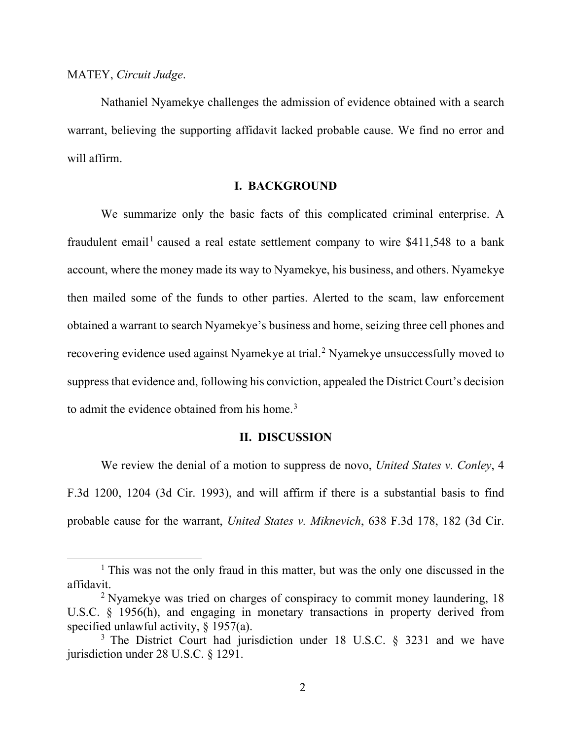#### MATEY, *Circuit Judge*.

Nathaniel Nyamekye challenges the admission of evidence obtained with a search warrant, believing the supporting affidavit lacked probable cause. We find no error and will affirm.

# **I. BACKGROUND**

We summarize only the basic facts of this complicated criminal enterprise. A fraudulent email<sup>[1](#page-2-0)</sup> caused a real estate settlement company to wire  $$411,548$  to a bank account, where the money made its way to Nyamekye, his business, and others. Nyamekye then mailed some of the funds to other parties. Alerted to the scam, law enforcement obtained a warrant to search Nyamekye's business and home, seizing three cell phones and recovering evidence used against Nyamekye at trial.<sup>[2](#page-2-1)</sup> Nyamekye unsuccessfully moved to suppress that evidence and, following his conviction, appealed the District Court's decision to admit the evidence obtained from his home.<sup>[3](#page-2-2)</sup>

## **II. DISCUSSION**

We review the denial of a motion to suppress de novo, *United States v. Conley*, 4 F.3d 1200, 1204 (3d Cir. 1993), and will affirm if there is a substantial basis to find probable cause for the warrant, *United States v. Miknevich*, 638 F.3d 178, 182 (3d Cir.

<span id="page-2-0"></span><sup>&</sup>lt;sup>1</sup> This was not the only fraud in this matter, but was the only one discussed in the affidavit.

<span id="page-2-1"></span><sup>&</sup>lt;sup>2</sup> Nyamekye was tried on charges of conspiracy to commit money laundering, 18 U.S.C. § 1956(h), and engaging in monetary transactions in property derived from specified unlawful activity,  $\S$  1957(a).

<span id="page-2-2"></span><sup>&</sup>lt;sup>3</sup> The District Court had jurisdiction under 18 U.S.C. § 3231 and we have jurisdiction under 28 U.S.C. § 1291.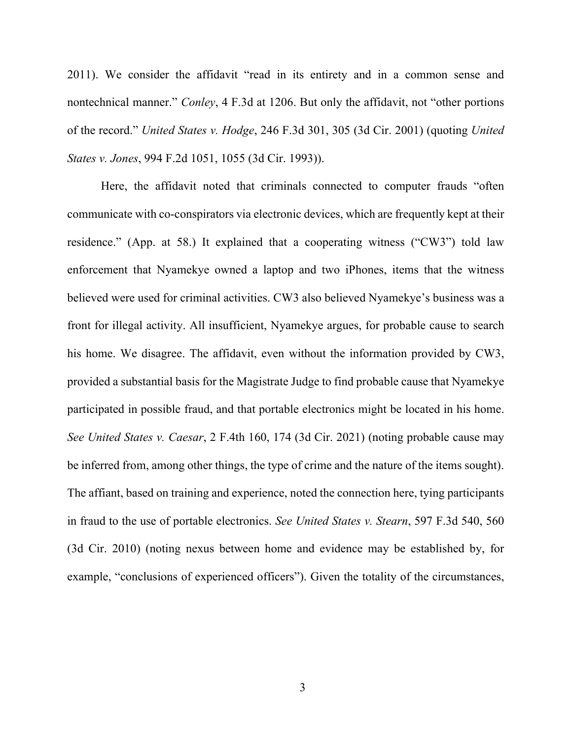2011). We consider the affidavit "read in its entirety and in a common sense and nontechnical manner." *Conley*, 4 F.3d at 1206. But only the affidavit, not "other portions of the record." *United States v. Hodge*, 246 F.3d 301, 305 (3d Cir. 2001) (quoting *United States v. Jones*, 994 F.2d 1051, 1055 (3d Cir. 1993)).

Here, the affidavit noted that criminals connected to computer frauds "often communicate with co-conspirators via electronic devices, which are frequently kept at their residence." (App. at 58.) It explained that a cooperating witness ("CW3") told law enforcement that Nyamekye owned a laptop and two iPhones, items that the witness believed were used for criminal activities. CW3 also believed Nyamekye's business was a front for illegal activity. All insufficient, Nyamekye argues, for probable cause to search his home. We disagree. The affidavit, even without the information provided by CW3, provided a substantial basis for the Magistrate Judge to find probable cause that Nyamekye participated in possible fraud, and that portable electronics might be located in his home. *See United States v. Caesar*, 2 F.4th 160, 174 (3d Cir. 2021) (noting probable cause may be inferred from, among other things, the type of crime and the nature of the items sought). The affiant, based on training and experience, noted the connection here, tying participants in fraud to the use of portable electronics. *See United States v. Stearn*, 597 F.3d 540, 560 (3d Cir. 2010) (noting nexus between home and evidence may be established by, for example, "conclusions of experienced officers"). Given the totality of the circumstances,